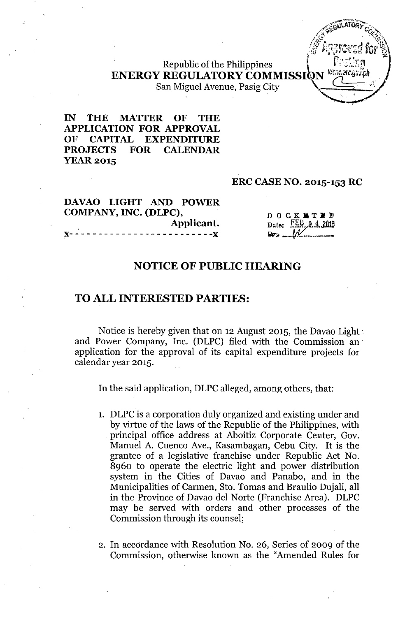Republic of the Philippines ENERGY REGULATORY COMMISSION William Contract on the COMMISSION San Miguel Avenue, Pasig City

 $IN$ **THE MATTER** OF **THE APPLICATION FOR APPROVAL** OF CAPITAL **EXPENDITURE PROJECTS FOR CALENDAR YEAR 2015** 

#### **ERC CASE NO. 2015-153 RC**

## **DAVAO LIGHT AND POWER COMPANY, INC. (DLPC), , Applicant. ](- - - - - - - - - - - -** - - - - - - - - - - - **- -](**

**DOCK LTED** Date:  $FEB.9.4.2016$  $\mathbf{D}_{\mathbf{V}}$  ,  $\mathbf{L}$ 

## **NOTICE OF PUBLIC HEARING**

## **TO ALL INTERESTED PARTIES:**

Notice is hereby given that on 12 August 2015, the Davao Light .. and Power Company, Inc. (DLPC) filed with the Commission an' application for the approval of its capital expenditure projects for calendar year 2015.

In the said application, DLPC alleged, among others, that:

- 1. DLPC is a corporation duly organized and existing under and by virtue of the laws of the Republic of the Philippines, with . principal office address at Aboitiz Corporate Center, Gov. Manuel A. Cuenco Ave., Kasambagan, Cebu City. It is the grantee of a legislative franchise under Republic Act No. 8960 to operate the electric light and power distribution system in the Cities of Davao and Panabo, and in the Municipalities of Carmen, Sto. Tomas and Braulio Dujali, all in the Province of Davao del Norte (Franchise Area). DLPC may be served with orders and other processes of the Commission through its counsel;
- 2. In accordance with Resolution No. 26, Series of 2009 of the Commission, otherwise known as the "Amended Rules for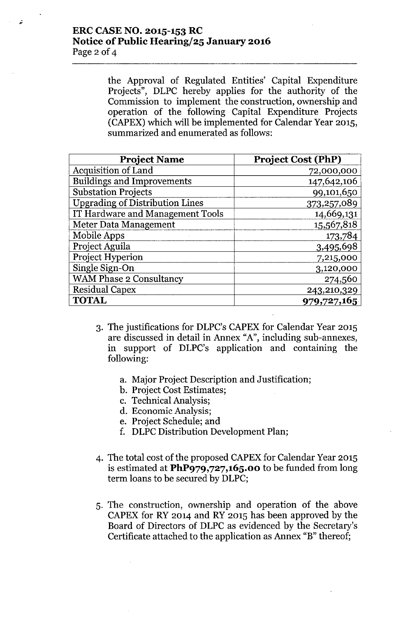## **ERC CASE NO. 2015-153 RC Notice** of Public **Hearingj25 January 2016** Page 2 of 4

 $\ddot{\phantom{0}}$ 

the Approval of Regulated Entities' Capital Expenditure Projects", DLPC hereby applies for the authority of the Commission to implement the construction, ownership and operation of the following Capital Expenditure Projects (CAPEX) which will be implemented for Calendar Year 2015, summarized and enumerated as follows:

| <b>Project Name</b>                    | <b>Project Cost (PhP)</b> |
|----------------------------------------|---------------------------|
| <b>Acquisition of Land</b>             | 72,000,000                |
| <b>Buildings and Improvements</b>      | 147,642,106               |
| <b>Substation Projects</b>             | 99,101,650                |
| <b>Upgrading of Distribution Lines</b> | 373,257,089               |
| IT Hardware and Management Tools       | 14,669,131                |
| Meter Data Management                  | 15,567,818                |
| Mobile Apps                            | 173,784                   |
| Project Aguila                         | 3,495,698                 |
| Project Hyperion                       | 7,215,000                 |
| Single Sign-On                         | 3,120,000                 |
| WAM Phase 2 Consultancy                | 274,560                   |
| <b>Residual Capex</b>                  | 243,210,329               |
| <b>TOTAL</b>                           | 979,727,165               |

- 3. The justifications for DLPC's CAPEX for Calendar Year 2015 are discussed in detail in Annex "A", including sub-annexes, in support of DLPC's application and containing the following:
	- a. Major Project Description and Justification;
	- b. Project Cost Estimates;
	- c. Technical Analysis;
	- d. Economic Analysis;
	- e. Project Schedule; and
	- f. DLPC Distribution Development Plan;
- 4. The total cost of the proposed CAPEX for Calendar Year 2015 is estimated at **PhP979,727,165.00** to be funded from long term loans to be secured by DLPC;
- 5. The construction, ownership and operation of the above CAPEX for RY 2014 and RY 2015 has been approved by the Board of Directors of DLPC as evidenced by the Secretary's Certificate attached to the application as Annex "B" thereof;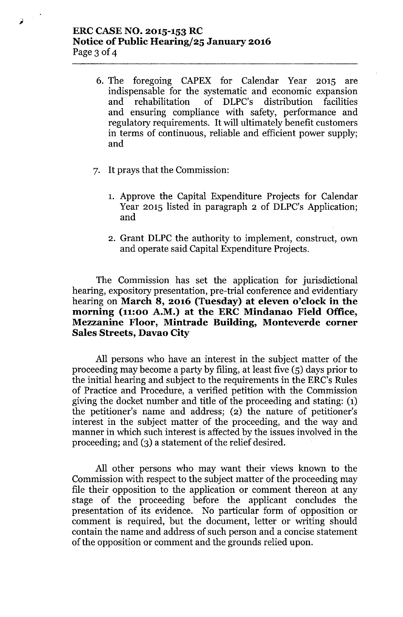## **ERCCASENO. 2015-153 RC Notice** of Public **Hearingj25 January 2016** Page 3 of 4

6. The foregoing CAPEX for Calendar Year 2015 are indispensable for the systematic and economic expansion and rehabilitation of DLPC's distribution facilities and ensuring compliance with safety, performance and regulatory requirements. It will ultimately benefit customers in terms of continuous, reliable and efficient power supply; and

- 7. It prays that the Commission:
	- 1. Approve the Capital Expenditure Projects for Calendar Year 2015 listed in paragraph 2 of DLPC's Application; and
	- 2. Grant DLPC the authority to implement, construct, own and operate said Capital Expenditure Projects.

The Commission has set the application for jurisdictional hearing, expository presentation, pre-trial conference and evidentiary hearing on **March 8, 2016 (Tuesday) at eleven o'clock in the morning (11:00 A.M.) at the ERC Mindanao Field Office, Mezzanine Floor, Mintrade Building, Monteverde corner Sales Streets, Davao City**

All persons who have an interest in the subject matter of the proceeding may become a party by filing, at least five (5) days prior to the initial hearing and subject to the requirements in the ERC's Rules of Practice and Procedure, a verified petition with the Commission giving the docket number and title of the proceeding and stating: (1) the petitioner's name and address; (2) the nature of petitioner's interest in the subject matter of the proceeding, and the way and manner in which such interest is affected by the issues involved in the proceeding; and (3) a statement of the relief desired.

All other persons who may want their views known to the Commission with respect to the subject matter of the proceeding may file their opposition to the application or comment thereon at any stage of the proceeding before the applicant concludes the presentation of its evidence. No particular form of opposition or comment is required, but the document, letter or writing should contain the name and address of such person and a concise statement of the opposition or comment and the grounds relied upon.